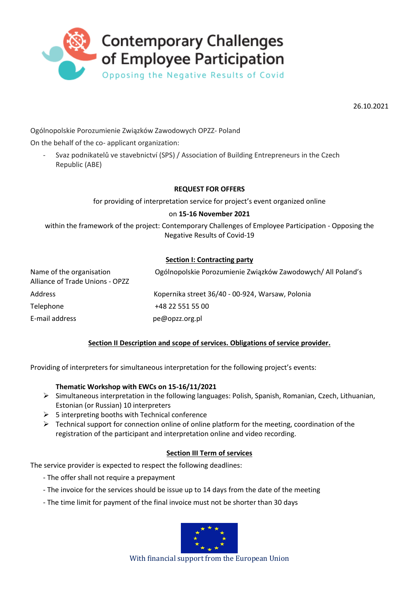

26.10.2021

Ogólnopolskie Porozumienie Związków Zawodowych OPZZ- Poland

On the behalf of the co- applicant organization:

- Svaz podnikatelů ve stavebnictví (SPS) / Association of Building Entrepreneurs in the Czech Republic (ABE)

### **REQUEST FOR OFFERS**

for providing of interpretation service for project's event organized online

#### on **15-16 November 2021**

within the framework of the project: Contemporary Challenges of Employee Participation - Opposing the Negative Results of Covid-19

### **Section I: Contracting party**

| Name of the organisation<br>Alliance of Trade Unions - OPZZ | Ogólnopolskie Porozumienie Związków Zawodowych/ All Poland's |
|-------------------------------------------------------------|--------------------------------------------------------------|
| <b>Address</b>                                              | Kopernika street 36/40 - 00-924, Warsaw, Polonia             |
| Telephone                                                   | +48 22 551 55 00                                             |
| E-mail address                                              | pe@opzz.org.pl                                               |

## **Section II Description and scope of services. Obligations of service provider.**

Providing of interpreters for simultaneous interpretation for the following project's events:

#### **Thematic Workshop with EWCs on 15-16/11/2021**

- Simultaneous interpretation in the following languages: Polish, Spanish, Romanian, Czech, Lithuanian, Estonian (or Russian) 10 interpreters
- $\geq$  5 interpreting booths with Technical conference
- $\triangleright$  Technical support for connection online of online platform for the meeting, coordination of the registration of the participant and interpretation online and video recording.

## **Section III Term of services**

The service provider is expected to respect the following deadlines:

- The offer shall not require a prepayment
- The invoice for the services should be issue up to 14 days from the date of the meeting
- The time limit for payment of the final invoice must not be shorter than 30 days



With financial support from the European Union